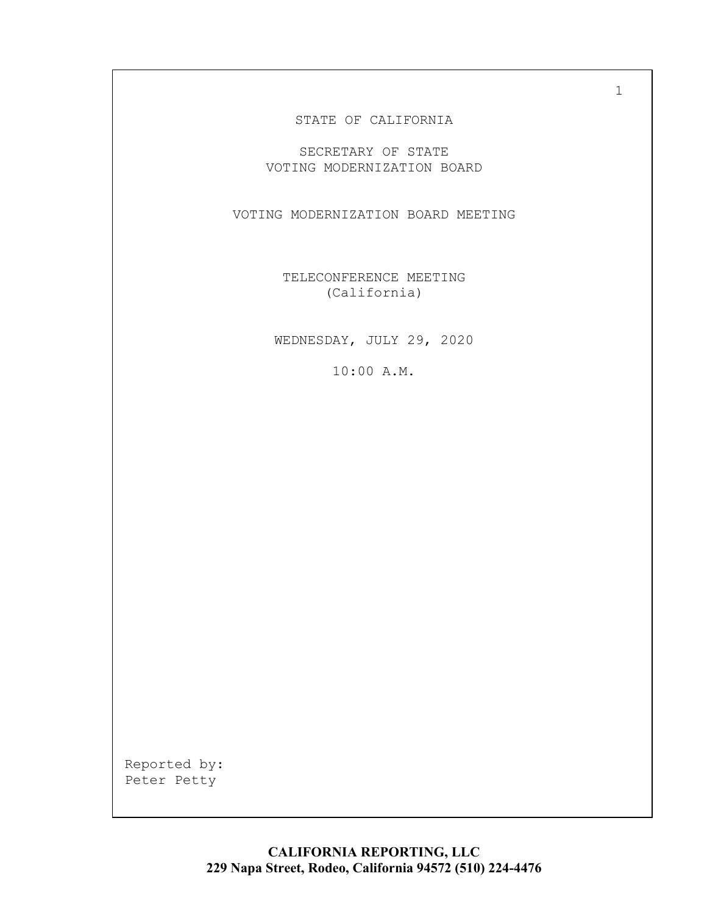### STATE OF CALIFORNIA

SECRETARY OF STATE VOTING MODERNIZATION BOARD

VOTING MODERNIZATION BOARD MEETING

TELECONFERENCE MEETING (California)

WEDNESDAY, JULY 29, 2020

10:00 A.M.

Reported by: Peter Petty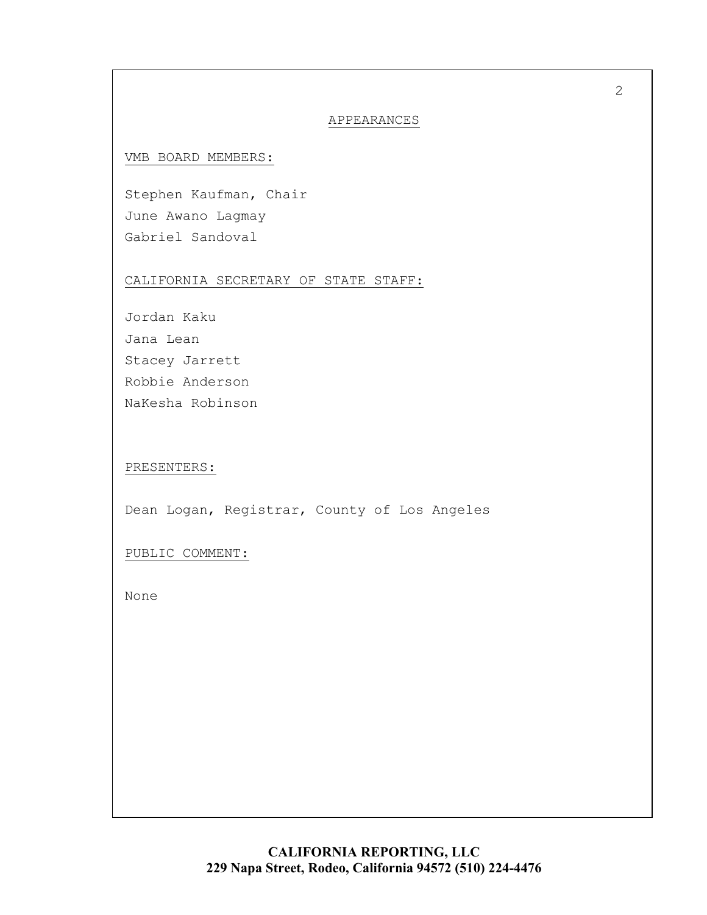### APPEARANCES

### VMB BOARD MEMBERS:

Stephen Kaufman, Chair June Awano Lagmay Gabriel Sandoval

### CALIFORNIA SECRETARY OF STATE STAFF:

Jordan Kaku Jana Lean Stacey Jarrett Robbie Anderson NaKesha Robinson

PRESENTERS:

Dean Logan, Registrar, County of Los Angeles

PUBLIC COMMENT:

None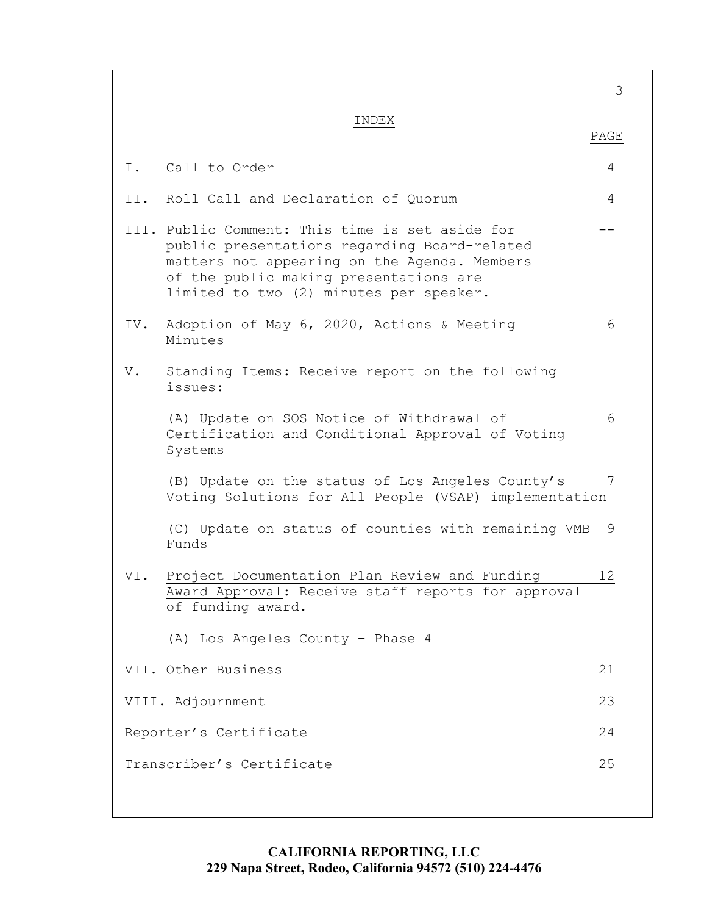3 INDEX PAGE I. Call to Order 4 II. Roll Call and Declaration of Quorum 4 III. Public Comment: This time is set aside for  $$ public presentations regarding Board-related matters not appearing on the Agenda. Members of the public making presentations are limited to two (2) minutes per speaker. IV. Adoption of May 6, 2020, Actions & Meeting 6 Minutes V. Standing Items: Receive report on the following issues: (A) Update on SOS Notice of Withdrawal of 6 Certification and Conditional Approval of Voting Systems (B) Update on the status of Los Angeles County's 7 Voting Solutions for All People (VSAP) implementation (C) Update on status of counties with remaining VMB 9 Funds VI. Project Documentation Plan Review and Funding 12 Award Approval: Receive staff reports for approval of funding award. (A) Los Angeles County – Phase 4 VII. Other Business 21 VIII. Adjournment 23 Reporter's Certificate 24 Transcriber's Certificate 25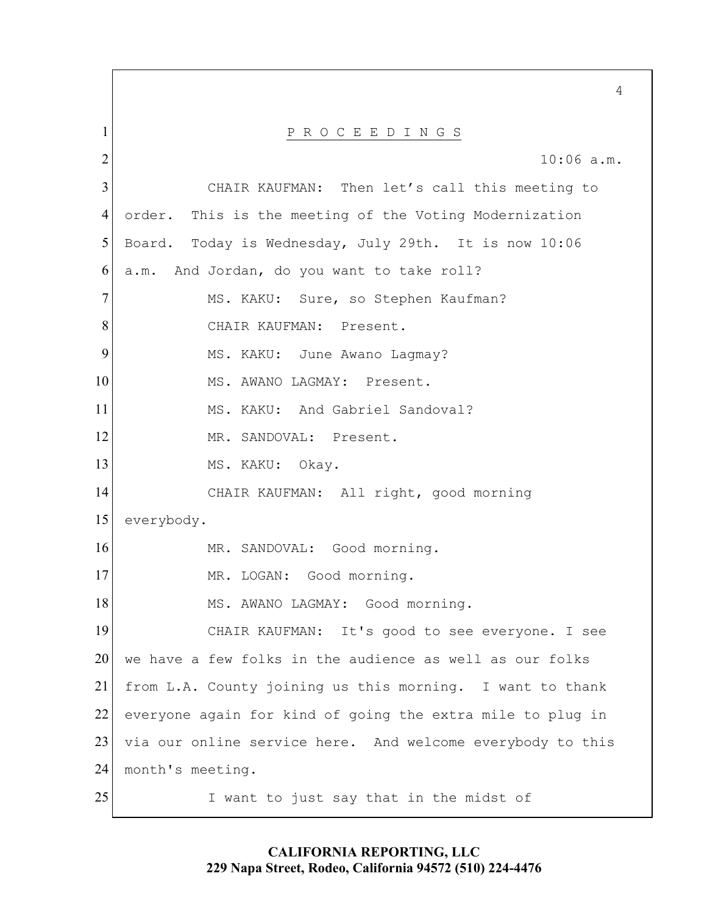1 P R O C E E D I N G S 2 10:06 a.m. 3 CHAIR KAUFMAN: Then let's call this meeting to 4 order. This is the meeting of the Voting Modernization 5 Board. Today is Wednesday, July 29th. It is now 10:06 6 a.m. And Jordan, do you want to take roll? 7 MS. KAKU: Sure, so Stephen Kaufman? 8 CHAIR KAUFMAN: Present. 9 MS. KAKU: June Awano Lagmay? 10 MS. AWANO LAGMAY: Present. 11 MS. KAKU: And Gabriel Sandoval? 12 MR. SANDOVAL: Present. 13 MS. KAKU: Okay. 14 CHAIR KAUFMAN: All right, good morning 15 everybody. 16 MR. SANDOVAL: Good morning. 17 MR. LOGAN: Good morning. 18 MS. AWANO LAGMAY: Good morning. 19 CHAIR KAUFMAN: It's good to see everyone. I see 20 We have a few folks in the audience as well as our folks 21 from L.A. County joining us this morning. I want to thank 22 everyone again for kind of going the extra mile to plug in 23 via our online service here. And welcome everybody to this 24 month's meeting. 25 I want to just say that in the midst of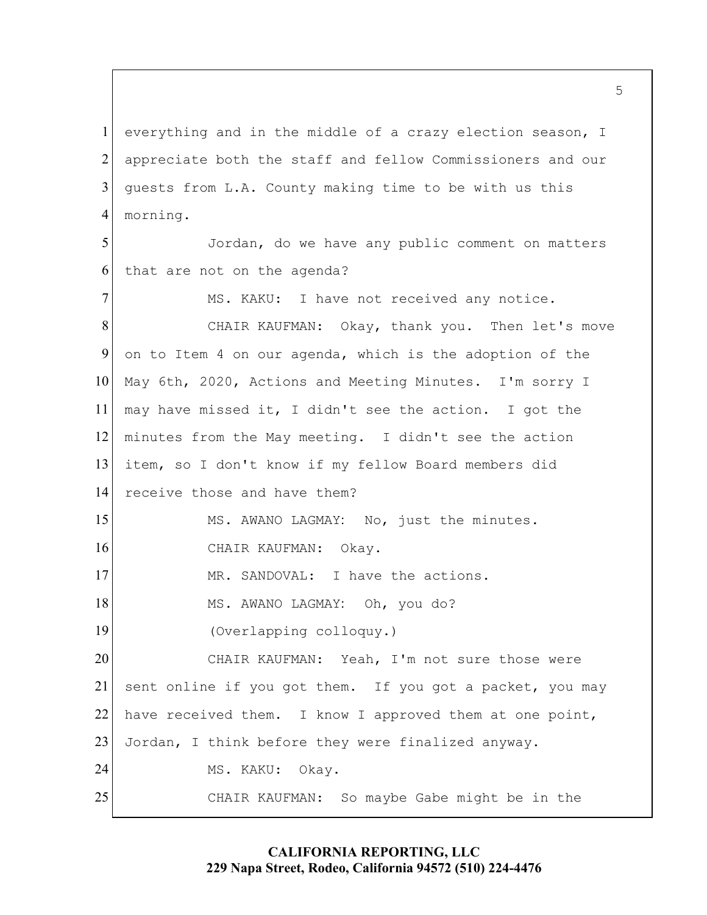1 everything and in the middle of a crazy election season, I 2 appreciate both the staff and fellow Commissioners and our 3 quests from L.A. County making time to be with us this 4 morning.

5 Jordan, do we have any public comment on matters 6 that are not on the agenda?

7 MS. KAKU: I have not received any notice. 8 CHAIR KAUFMAN: Okay, thank you. Then let's move 9 on to Item 4 on our agenda, which is the adoption of the 10 May 6th, 2020, Actions and Meeting Minutes. I'm sorry I 11 may have missed it, I didn't see the action. I got the 12 minutes from the May meeting. I didn't see the action 13 item, so I don't know if my fellow Board members did 14 receive those and have them? 15 MS. AWANO LAGMAY: No, just the minutes. 16 CHAIR KAUFMAN: Okay. 17 MR. SANDOVAL: I have the actions. 18 MS. AWANO LAGMAY: Oh, you do? 19 (Overlapping colloquy.) 20 CHAIR KAUFMAN: Yeah, I'm not sure those were 21 sent online if you got them. If you got a packet, you may 22 have received them. I know I approved them at one point, 23 Jordan, I think before they were finalized anyway. 24 MS. KAKU: Okay. 25 CHAIR KAUFMAN: So maybe Gabe might be in the

> **CALIFORNIA REPORTING, LLC 229 Napa Street, Rodeo, California 94572 (510) 224-4476**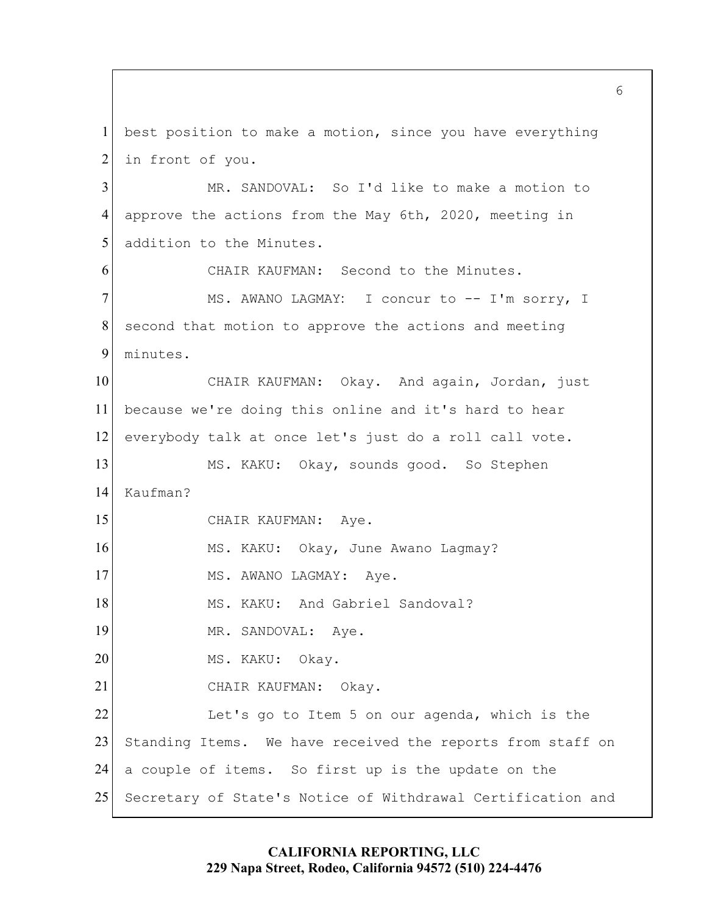1 best position to make a motion, since you have everything 2 in front of you. 3 MR. SANDOVAL: So I'd like to make a motion to 4 approve the actions from the May 6th, 2020, meeting in 5 addition to the Minutes. 6 CHAIR KAUFMAN: Second to the Minutes. 7 MS. AWANO LAGMAY: I concur to -- I'm sorry, I  $8$  second that motion to approve the actions and meeting 9 minutes. 10 CHAIR KAUFMAN: Okay. And again, Jordan, just 11 because we're doing this online and it's hard to hear 12 everybody talk at once let's just do a roll call vote. 13 MS. KAKU: Okay, sounds good. So Stephen 14 Kaufman? 15 CHAIR KAUFMAN: Aye. 16 MS. KAKU: Okay, June Awano Lagmay? 17 MS. AWANO LAGMAY: Aye. 18 MS. KAKU: And Gabriel Sandoval? 19 MR. SANDOVAL: Aye. 20 MS. KAKU: Okay. 21 CHAIR KAUFMAN: Okay. 22 Let's go to Item 5 on our agenda, which is the 23 Standing Items. We have received the reports from staff on 24 a couple of items. So first up is the update on the 25 Secretary of State's Notice of Withdrawal Certification and

> **CALIFORNIA REPORTING, LLC 229 Napa Street, Rodeo, California 94572 (510) 224-4476**

 $6 \overline{6}$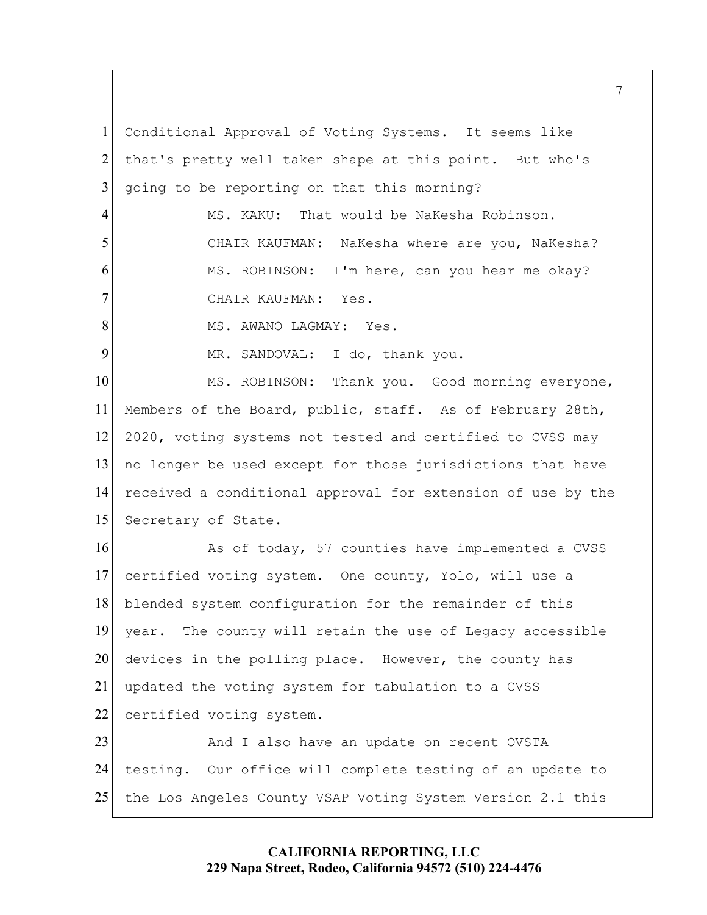1 Conditional Approval of Voting Systems. It seems like 2 that's pretty well taken shape at this point. But who's  $3$  going to be reporting on that this morning? 4 MS. KAKU: That would be NaKesha Robinson. 5 CHAIR KAUFMAN: NaKesha where are you, NaKesha? 6 MS. ROBINSON: I'm here, can you hear me okay? 7 CHAIR KAUFMAN: Yes. 8 MS. AWANO LAGMAY: Yes. 9 MR. SANDOVAL: I do, thank you. 10 MS. ROBINSON: Thank you. Good morning everyone, 11 Members of the Board, public, staff. As of February 28th, 12 2020, voting systems not tested and certified to CVSS may 13 no longer be used except for those jurisdictions that have 14 received a conditional approval for extension of use by the 15 Secretary of State. 16 As of today, 57 counties have implemented a CVSS 17 certified voting system. One county, Yolo, will use a 18 blended system configuration for the remainder of this 19 year. The county will retain the use of Legacy accessible 20 devices in the polling place. However, the county has 21 updated the voting system for tabulation to a CVSS 22 certified voting system. 23 And I also have an update on recent OVSTA 24 testing. Our office will complete testing of an update to

25 the Los Angeles County VSAP Voting System Version 2.1 this

# **CALIFORNIA REPORTING, LLC 229 Napa Street, Rodeo, California 94572 (510) 224-4476**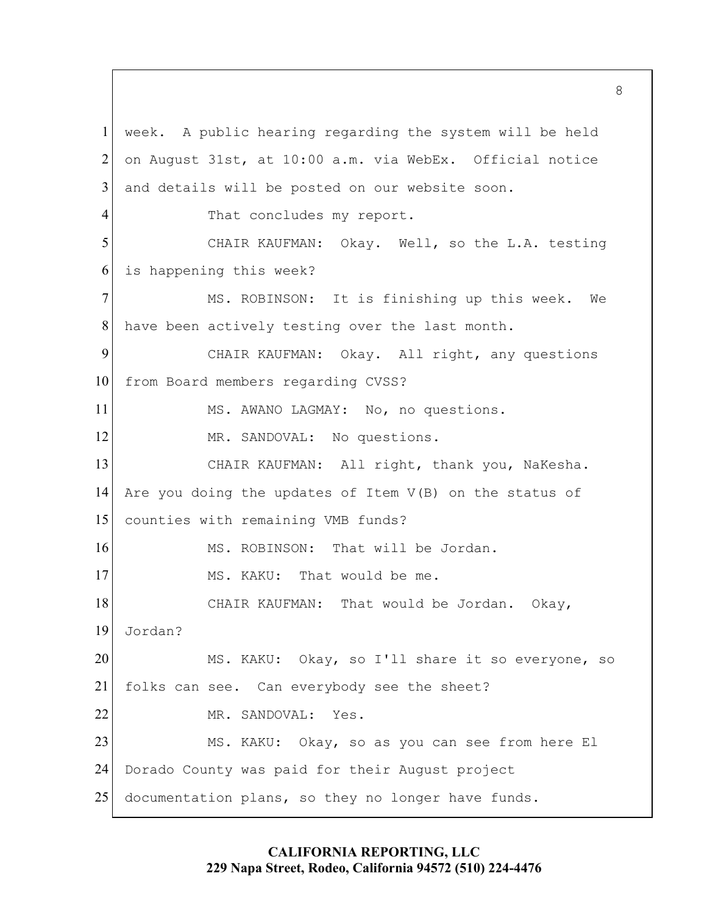1 week. A public hearing regarding the system will be held 2 on August 31st, at 10:00 a.m. via WebEx. Official notice 3 and details will be posted on our website soon. 4 That concludes my report. 5 CHAIR KAUFMAN: Okay. Well, so the L.A. testing 6 is happening this week? 7 MS. ROBINSON: It is finishing up this week. We 8 have been actively testing over the last month. 9 CHAIR KAUFMAN: Okay. All right, any questions 10 from Board members regarding CVSS? 11 MS. AWANO LAGMAY: No, no questions. 12 MR. SANDOVAL: No questions. 13 CHAIR KAUFMAN: All right, thank you, NaKesha. 14 Are you doing the updates of Item V(B) on the status of 15 counties with remaining VMB funds? 16 MS. ROBINSON: That will be Jordan. 17 MS. KAKU: That would be me. 18 CHAIR KAUFMAN: That would be Jordan. Okay, 19 Jordan? 20 MS. KAKU: Okay, so I'll share it so everyone, so 21 folks can see. Can everybody see the sheet? 22 MR. SANDOVAL: Yes. 23 MS. KAKU: Okay, so as you can see from here El 24 Dorado County was paid for their August project 25 documentation plans, so they no longer have funds.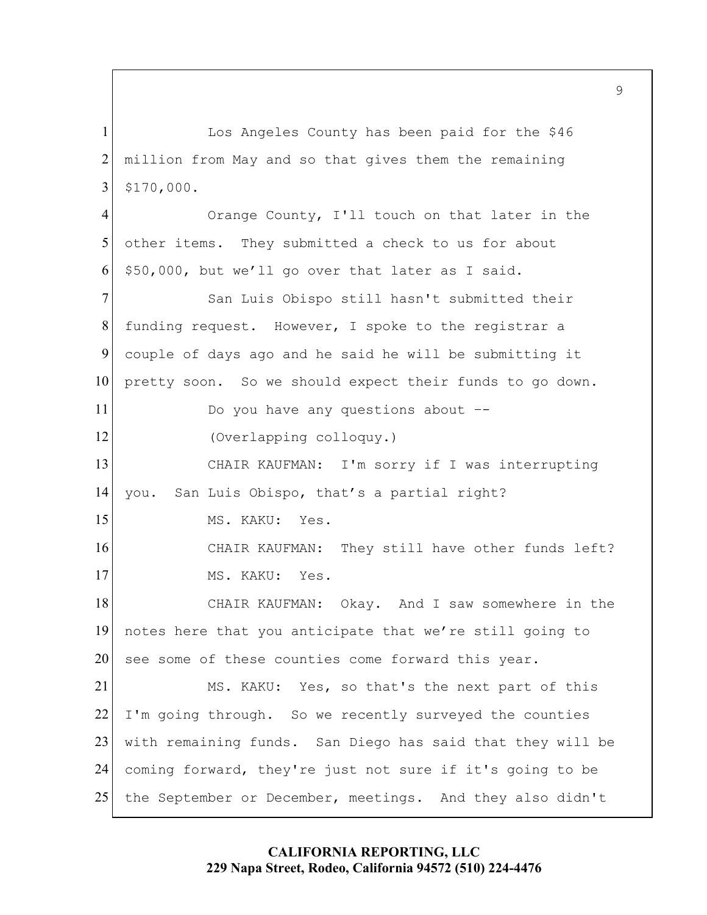1 Los Angeles County has been paid for the \$46 2 million from May and so that gives them the remaining 3 \$170,000. 4 Orange County, I'll touch on that later in the 5 other items. They submitted a check to us for about  $6$  \$50,000, but we'll go over that later as I said. 7 San Luis Obispo still hasn't submitted their 8 funding request. However, I spoke to the registrar a 9 couple of days ago and he said he will be submitting it 10 pretty soon. So we should expect their funds to go down. 11 Do you have any questions about --12 (Overlapping colloquy.) 13 CHAIR KAUFMAN: I'm sorry if I was interrupting 14 you. San Luis Obispo, that's a partial right? 15 MS. KAKU: Yes. 16 CHAIR KAUFMAN: They still have other funds left? 17 MS. KAKU: Yes. 18 CHAIR KAUFMAN: Okay. And I saw somewhere in the 19 notes here that you anticipate that we're still going to 20 see some of these counties come forward this year. 21 MS. KAKU: Yes, so that's the next part of this  $22$  I'm going through. So we recently surveyed the counties 23 with remaining funds. San Diego has said that they will be 24 coming forward, they're just not sure if it's going to be 25 the September or December, meetings. And they also didn't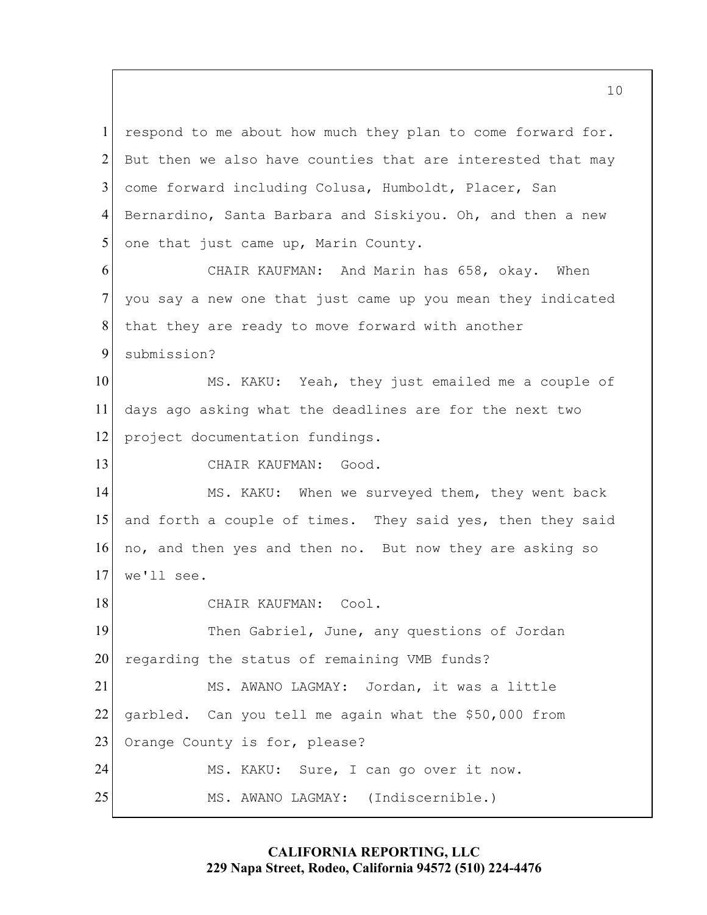1 respond to me about how much they plan to come forward for. 2 But then we also have counties that are interested that may 3 come forward including Colusa, Humboldt, Placer, San 4 Bernardino, Santa Barbara and Siskiyou. Oh, and then a new  $5$  one that just came up, Marin County. 6 CHAIR KAUFMAN: And Marin has 658, okay. When 7 you say a new one that just came up you mean they indicated 8 that they are ready to move forward with another 9 submission? 10 MS. KAKU: Yeah, they just emailed me a couple of 11 days ago asking what the deadlines are for the next two 12 project documentation fundings. 13 CHAIR KAUFMAN: Good. 14 MS. KAKU: When we surveyed them, they went back 15 and forth a couple of times. They said yes, then they said 16 no, and then yes and then no. But now they are asking so 17 we'll see. 18 CHAIR KAUFMAN: Cool. 19 Then Gabriel, June, any questions of Jordan 20 regarding the status of remaining VMB funds? 21 MS. AWANO LAGMAY: Jordan, it was a little 22 garbled. Can you tell me again what the \$50,000 from 23 Orange County is for, please? 24 MS. KAKU: Sure, I can go over it now. 25 MS. AWANO LAGMAY: (Indiscernible.)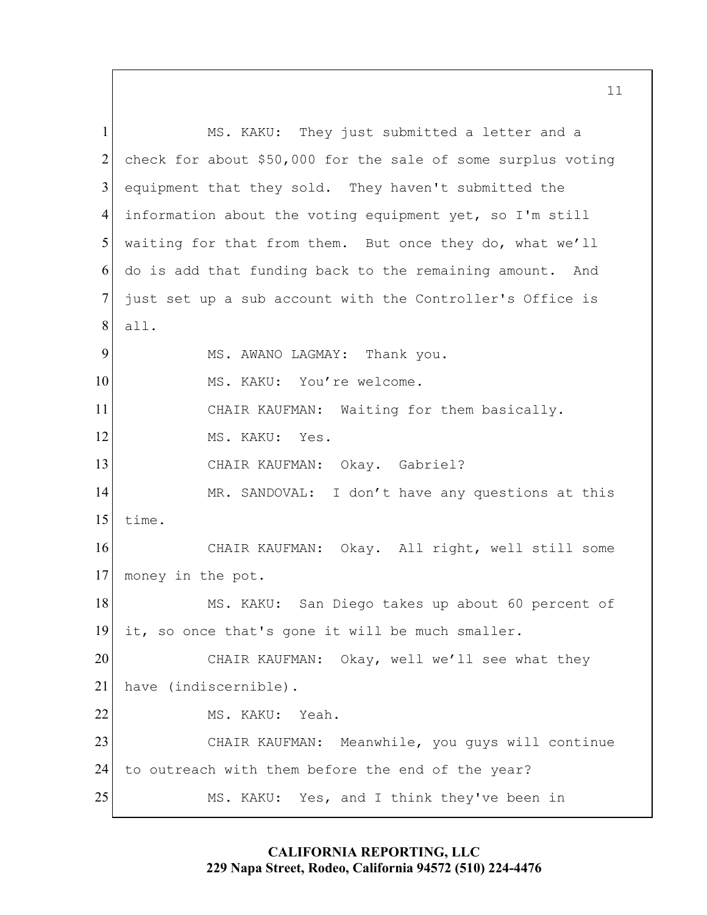1 MS. KAKU: They just submitted a letter and a 2 check for about \$50,000 for the sale of some surplus voting 3 equipment that they sold. They haven't submitted the 4 information about the voting equipment yet, so I'm still 5 waiting for that from them. But once they do, what we'll 6 do is add that funding back to the remaining amount. And 7 just set up a sub account with the Controller's Office is 8 all. 9 MS. AWANO LAGMAY: Thank you. 10 MS. KAKU: You're welcome. 11 CHAIR KAUFMAN: Waiting for them basically. 12 MS. KAKU: Yes. 13 CHAIR KAUFMAN: Okay. Gabriel? 14 MR. SANDOVAL: I don't have any questions at this 15 time. 16 CHAIR KAUFMAN: Okay. All right, well still some 17 money in the pot. 18 MS. KAKU: San Diego takes up about 60 percent of 19 it, so once that's gone it will be much smaller. 20 CHAIR KAUFMAN: Okay, well we'll see what they 21 have (indiscernible). 22 MS. KAKU: Yeah. 23 CHAIR KAUFMAN: Meanwhile, you guys will continue 24 to outreach with them before the end of the year? 25 MS. KAKU: Yes, and I think they've been in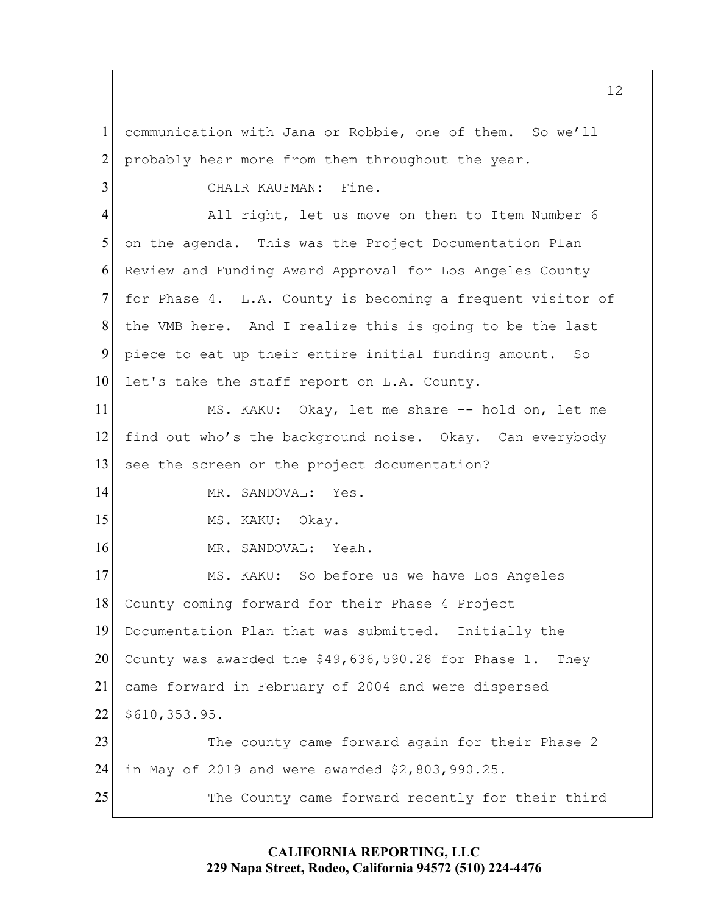1 communication with Jana or Robbie, one of them. So we'll  $2$  probably hear more from them throughout the year. 3 CHAIR KAUFMAN: Fine. 4 All right, let us move on then to Item Number 6 5 on the agenda. This was the Project Documentation Plan 6 Review and Funding Award Approval for Los Angeles County 7 for Phase 4. L.A. County is becoming a frequent visitor of 8 the VMB here. And I realize this is going to be the last 9 piece to eat up their entire initial funding amount. So 10 let's take the staff report on L.A. County. 11 MS. KAKU: Okay, let me share -- hold on, let me 12 find out who's the background noise. Okay. Can everybody 13 see the screen or the project documentation? 14 MR. SANDOVAL: Yes. 15 MS. KAKU: Okay. 16 MR. SANDOVAL: Yeah. 17 MS. KAKU: So before us we have Los Angeles 18 County coming forward for their Phase 4 Project 19 Documentation Plan that was submitted. Initially the 20 County was awarded the  $$49,636,590.28$  for Phase 1. They 21 came forward in February of 2004 and were dispersed 22 \$610,353.95. 23 The county came forward again for their Phase 2 24 in May of 2019 and were awarded \$2,803,990.25. 25 The County came forward recently for their third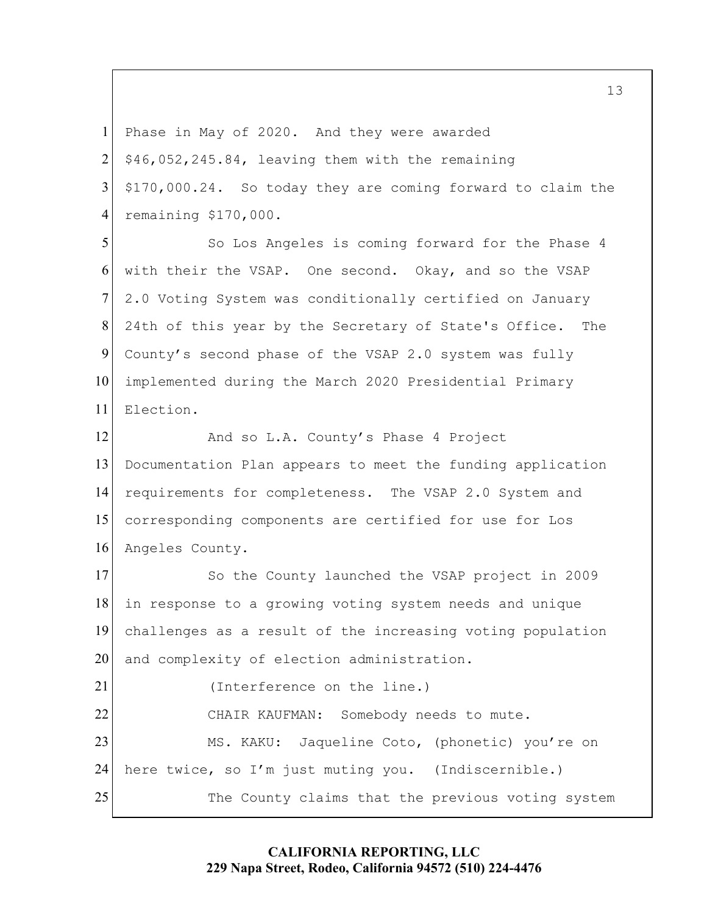1 Phase in May of 2020. And they were awarded

 $2 \mid$  \$46,052,245.84, leaving them with the remaining

3 \$170,000.24. So today they are coming forward to claim the 4 remaining \$170,000.

5 So Los Angeles is coming forward for the Phase 4 6 with their the VSAP. One second. Okay, and so the VSAP 7 2.0 Voting System was conditionally certified on January 8 24th of this year by the Secretary of State's Office. The 9 County's second phase of the VSAP 2.0 system was fully 10 implemented during the March 2020 Presidential Primary 11 Election.

12 And so L.A. County's Phase 4 Project Documentation Plan appears to meet the funding application requirements for completeness. The VSAP 2.0 System and corresponding components are certified for use for Los Angeles County.

17 So the County launched the VSAP project in 2009 18 in response to a growing voting system needs and unique 19 challenges as a result of the increasing voting population 20 and complexity of election administration.

21 (Interference on the line.) 22 CHAIR KAUFMAN: Somebody needs to mute. 23 MS. KAKU: Jaqueline Coto, (phonetic) you're on 24 here twice, so I'm just muting you. (Indiscernible.) 25 The County claims that the previous voting system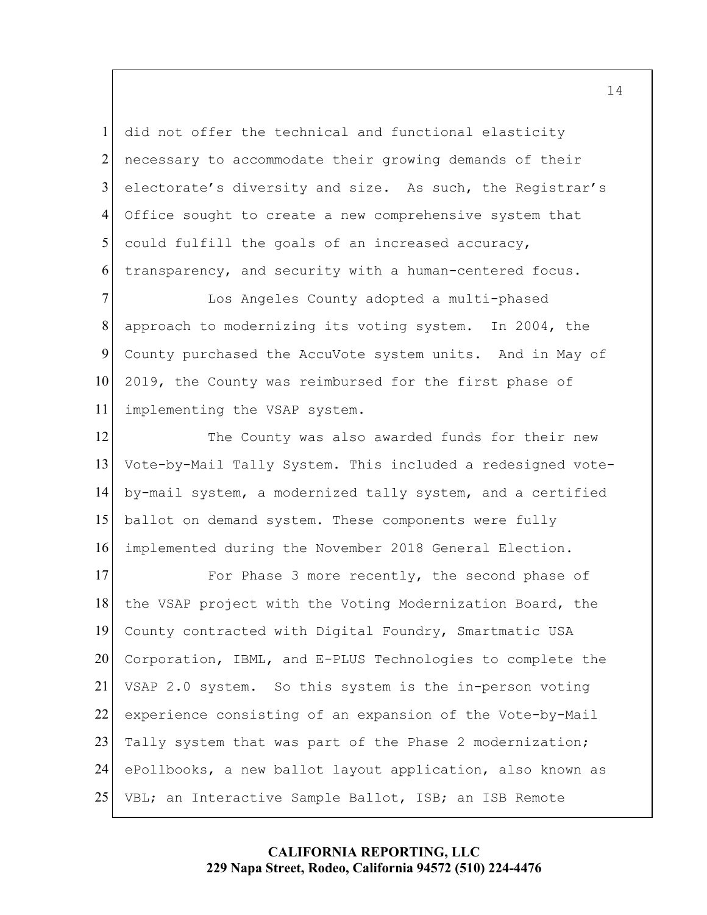did not offer the technical and functional elasticity necessary to accommodate their growing demands of their 3 electorate's diversity and size. As such, the Registrar's Office sought to create a new comprehensive system that could fulfill the goals of an increased accuracy, transparency, and security with a human-centered focus.

**I** Los Angeles County adopted a multi-phased approach to modernizing its voting system. In 2004, the 9 County purchased the AccuVote system units. And in May of 10 2019, the County was reimbursed for the first phase of implementing the VSAP system.

12 The County was also awarded funds for their new Vote-by-Mail Tally System. This included a redesigned vote-by-mail system, a modernized tally system, and a certified ballot on demand system. These components were fully implemented during the November 2018 General Election.

17 For Phase 3 more recently, the second phase of 18 the VSAP project with the Voting Modernization Board, the County contracted with Digital Foundry, Smartmatic USA Corporation, IBML, and E-PLUS Technologies to complete the VSAP 2.0 system. So this system is the in-person voting 22 experience consisting of an expansion of the Vote-by-Mail 23 Tally system that was part of the Phase 2 modernization; 24 ePollbooks, a new ballot layout application, also known as VBL; an Interactive Sample Ballot, ISB; an ISB Remote

## **CALIFORNIA REPORTING, LLC 229 Napa Street, Rodeo, California 94572 (510) 224-4476**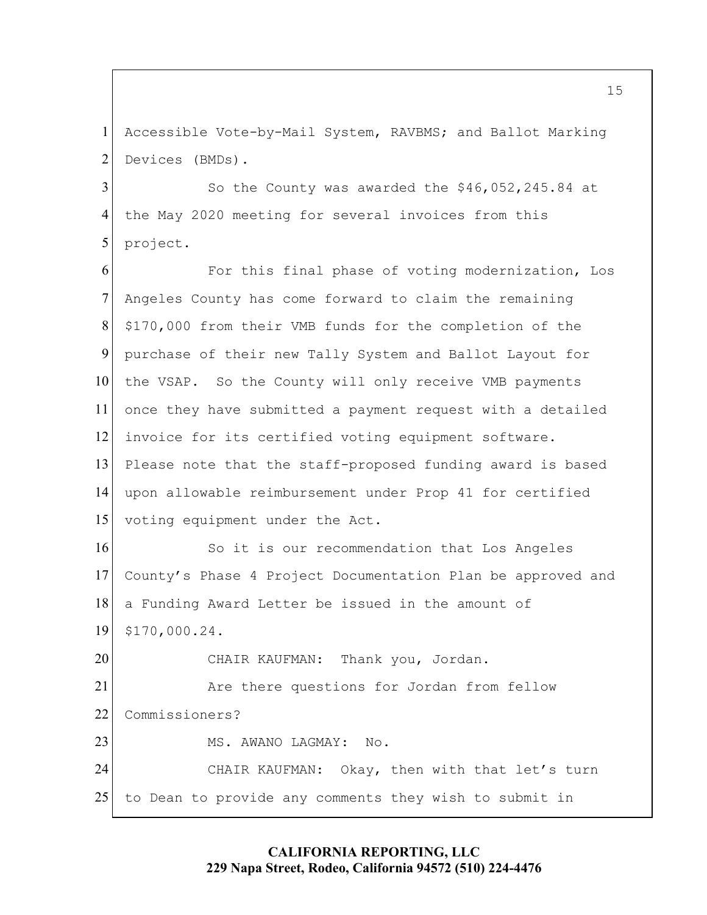1 Accessible Vote-by-Mail System, RAVBMS; and Ballot Marking 2 Devices (BMDs).

3 So the County was awarded the \$46,052,245.84 at 4 the May 2020 meeting for several invoices from this 5 project.

6 For this final phase of voting modernization, Los 7 Angeles County has come forward to claim the remaining 8 \$170,000 from their VMB funds for the completion of the 9 purchase of their new Tally System and Ballot Layout for 10 the VSAP. So the County will only receive VMB payments 11 once they have submitted a payment request with a detailed 12 invoice for its certified voting equipment software. 13 Please note that the staff-proposed funding award is based 14 upon allowable reimbursement under Prop 41 for certified 15 voting equipment under the Act. 16 So it is our recommendation that Los Angeles 17 County's Phase 4 Project Documentation Plan be approved and 18 a Funding Award Letter be issued in the amount of 19 \$170,000.24. 20 CHAIR KAUFMAN: Thank you, Jordan. 21 Are there questions for Jordan from fellow 22 Commissioners? 23 MS. AWANO LAGMAY: No. 24 CHAIR KAUFMAN: Okay, then with that let's turn 25 to Dean to provide any comments they wish to submit in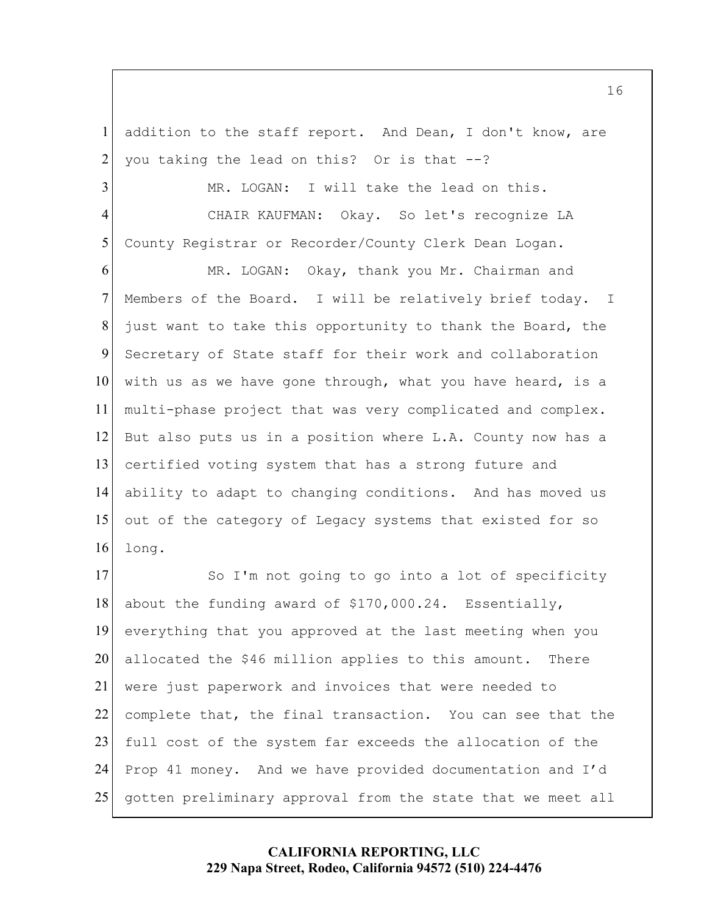1 addition to the staff report. And Dean, I don't know, are 2 you taking the lead on this? Or is that  $-$ -?

3 MR. LOGAN: I will take the lead on this. 4 CHAIR KAUFMAN: Okay. So let's recognize LA 5 County Registrar or Recorder/County Clerk Dean Logan.

MR. LOGAN: Okay, thank you Mr. Chairman and 7 Members of the Board. I will be relatively brief today. I just want to take this opportunity to thank the Board, the Secretary of State staff for their work and collaboration with us as we have gone through, what you have heard, is a multi-phase project that was very complicated and complex. But also puts us in a position where L.A. County now has a certified voting system that has a strong future and ability to adapt to changing conditions. And has moved us 15 out of the category of Legacy systems that existed for so 16 long.

17 So I'm not going to go into a lot of specificity 18 about the funding award of \$170,000.24. Essentially, 19 everything that you approved at the last meeting when you 20 allocated the \$46 million applies to this amount. There 21 were just paperwork and invoices that were needed to 22 complete that, the final transaction. You can see that the 23 full cost of the system far exceeds the allocation of the 24 Prop 41 money. And we have provided documentation and I'd 25 gotten preliminary approval from the state that we meet all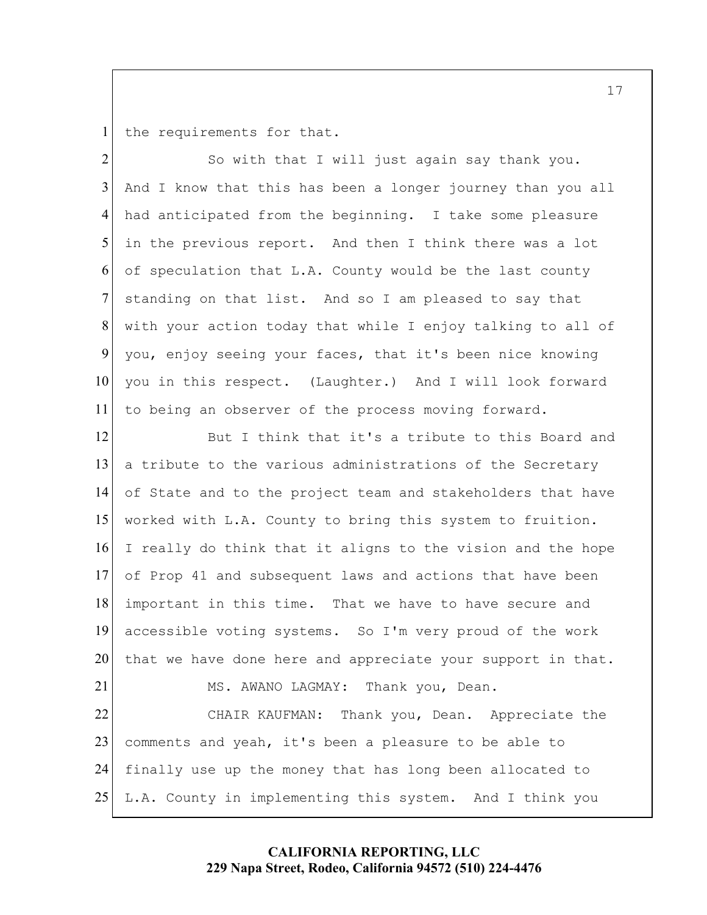1 the requirements for that.

So with that I will just again say thank you. And I know that this has been a longer journey than you all had anticipated from the beginning. I take some pleasure 5 in the previous report. And then I think there was a lot of speculation that L.A. County would be the last county 7 standing on that list. And so I am pleased to say that with your action today that while I enjoy talking to all of you, enjoy seeing your faces, that it's been nice knowing 10 you in this respect. (Laughter.) And I will look forward to being an observer of the process moving forward.

12 But I think that it's a tribute to this Board and 13 a tribute to the various administrations of the Secretary 14 of State and to the project team and stakeholders that have 15 worked with L.A. County to bring this system to fruition. 16 I really do think that it aligns to the vision and the hope 17 of Prop 41 and subsequent laws and actions that have been 18 important in this time. That we have to have secure and 19 accessible voting systems. So I'm very proud of the work 20 that we have done here and appreciate your support in that. 21 MS. AWANO LAGMAY: Thank you, Dean. 22 CHAIR KAUFMAN: Thank you, Dean. Appreciate the 23 comments and yeah, it's been a pleasure to be able to 24 finally use up the money that has long been allocated to 25 L.A. County in implementing this system. And I think you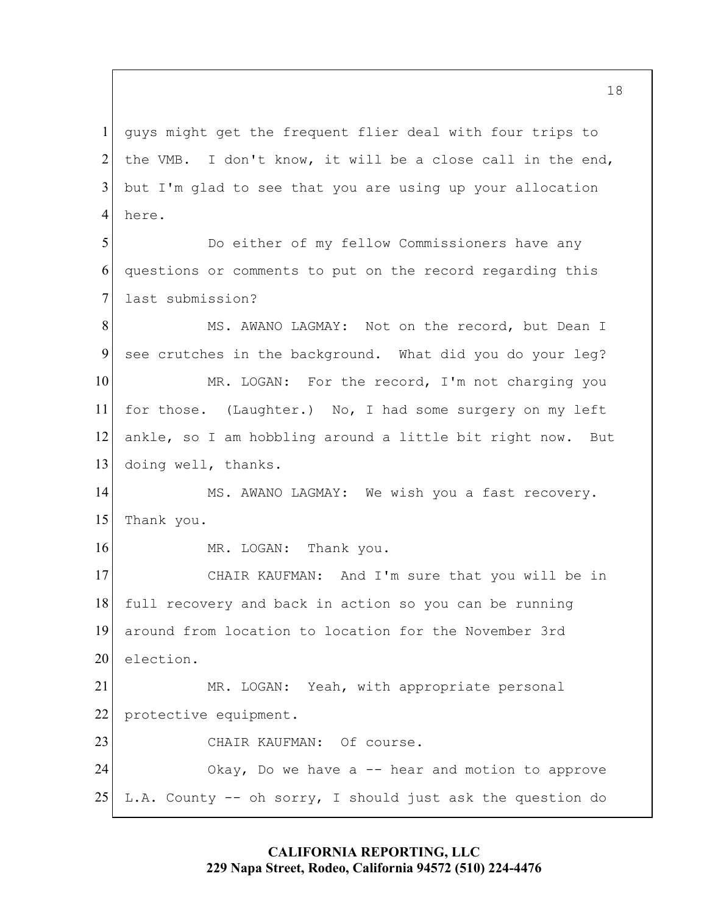1 guys might get the frequent flier deal with four trips to 2 the VMB. I don't know, it will be a close call in the end,  $3$  but I'm glad to see that you are using up your allocation 4 here.

5 Do either of my fellow Commissioners have any 6 questions or comments to put on the record regarding this 7 last submission?

8 MS. AWANO LAGMAY: Not on the record, but Dean I 9 see crutches in the background. What did you do your leg? 10 MR. LOGAN: For the record, I'm not charging you 11 for those. (Laughter.) No, I had some surgery on my left 12 ankle, so I am hobbling around a little bit right now. But 13 doing well, thanks.

14 MS. AWANO LAGMAY: We wish you a fast recovery. 15 Thank you.

16 MR. LOGAN: Thank you.

17 CHAIR KAUFMAN: And I'm sure that you will be in 18 full recovery and back in action so you can be running 19 around from location to location for the November 3rd 20 election.

21 MR. LOGAN: Yeah, with appropriate personal 22 protective equipment. 23 CHAIR KAUFMAN: Of course.

24 Okay, Do we have a -- hear and motion to approve 25 L.A. County  $-$  oh sorry, I should just ask the question do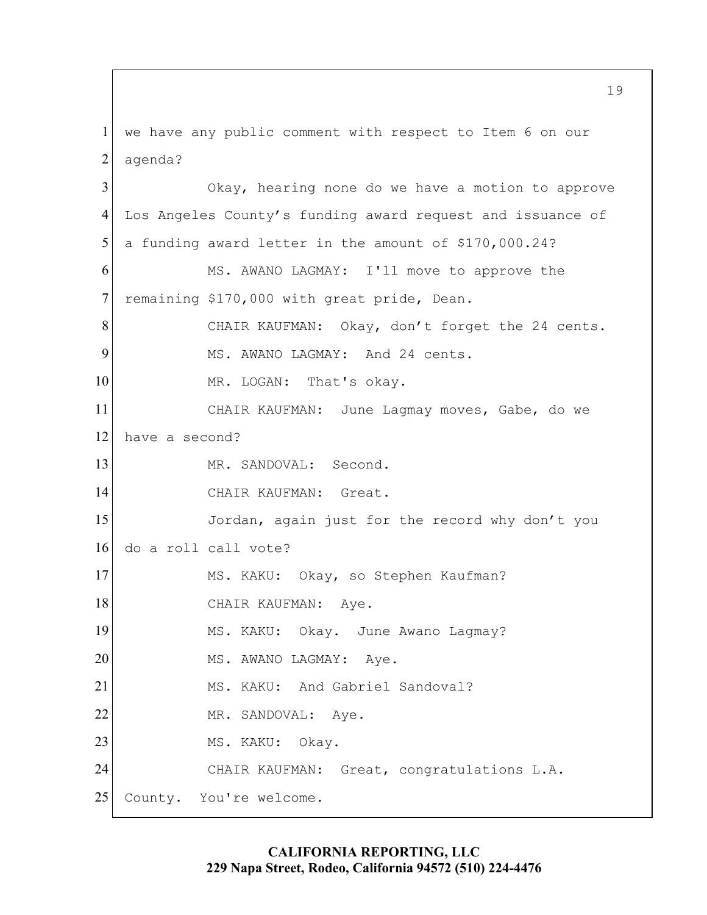1 we have any public comment with respect to Item 6 on our 2 agenda? 3 Okay, hearing none do we have a motion to approve 4 Los Angeles County's funding award request and issuance of  $5$  a funding award letter in the amount of \$170,000.24? 6 MS. AWANO LAGMAY: I'll move to approve the 7 remaining \$170,000 with great pride, Dean. 8 CHAIR KAUFMAN: Okay, don't forget the 24 cents. 9 MS. AWANO LAGMAY: And 24 cents. 10 MR. LOGAN: That's okay. 11 CHAIR KAUFMAN: June Lagmay moves, Gabe, do we 12 have a second? 13 MR. SANDOVAL: Second. 14 CHAIR KAUFMAN: Great. 15 Jordan, again just for the record why don't you 16 do a roll call vote? 17 MS. KAKU: Okay, so Stephen Kaufman? 18 CHAIR KAUFMAN: Aye. 19 MS. KAKU: Okay. June Awano Lagmay? 20 MS. AWANO LAGMAY: Aye. 21 MS. KAKU: And Gabriel Sandoval? 22 MR. SANDOVAL: Aye. 23 MS. KAKU: Okay. 24 CHAIR KAUFMAN: Great, congratulations L.A. 25 County. You're welcome.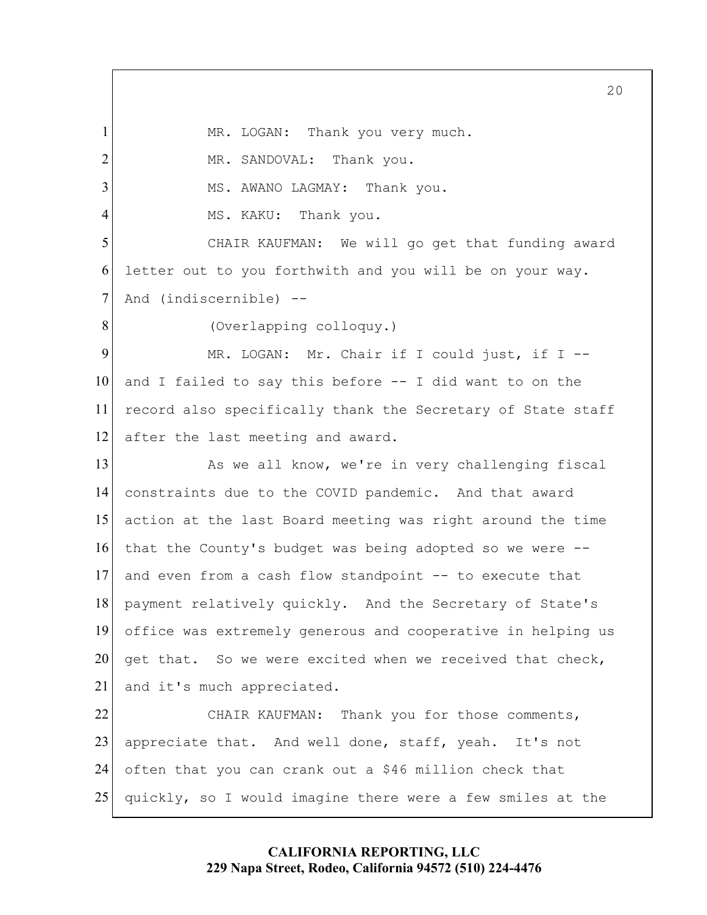1 MR. LOGAN: Thank you very much. 2 MR. SANDOVAL: Thank you. 3 MS. AWANO LAGMAY: Thank you. 4 MS. KAKU: Thank you. 5 CHAIR KAUFMAN: We will go get that funding award 6 letter out to you forthwith and you will be on your way. 7 And (indiscernible) --8 (Overlapping colloquy.) 9 MR. LOGAN: Mr. Chair if I could just, if I  $-$ 10 and I failed to say this before  $-$  I did want to on the 11 record also specifically thank the Secretary of State staff 12 after the last meeting and award. 13 As we all know, we're in very challenging fiscal 14 constraints due to the COVID pandemic. And that award 15 action at the last Board meeting was right around the time 16 that the County's budget was being adopted so we were -- 17 and even from a cash flow standpoint -- to execute that 18 payment relatively quickly. And the Secretary of State's 19 office was extremely generous and cooperative in helping us 20 get that. So we were excited when we received that check, 21 and it's much appreciated. 22 CHAIR KAUFMAN: Thank you for those comments, 23 appreciate that. And well done, staff, yeah. It's not

25 quickly, so I would imagine there were a few smiles at the

24 often that you can crank out a \$46 million check that

**CALIFORNIA REPORTING, LLC 229 Napa Street, Rodeo, California 94572 (510) 224-4476**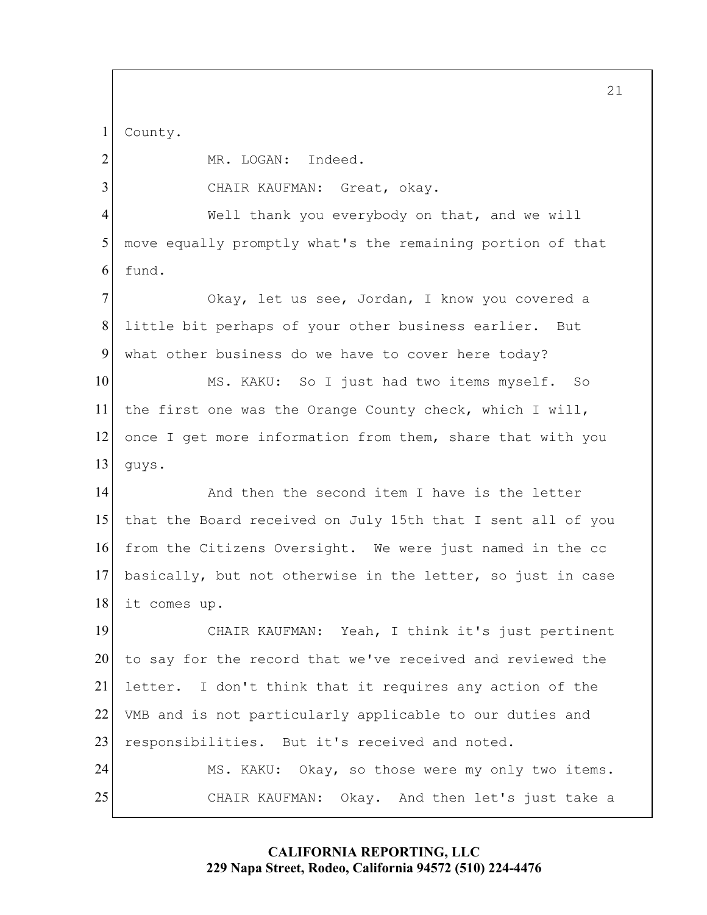1 County.

2 MR. LOGAN: Indeed. 3 CHAIR KAUFMAN: Great, okay. 4 Well thank you everybody on that, and we will 5 move equally promptly what's the remaining portion of that 6 fund. 7 Okay, let us see, Jordan, I know you covered a 8 little bit perhaps of your other business earlier. But 9 what other business do we have to cover here today? 10 MS. KAKU: So I just had two items myself. So 11 the first one was the Orange County check, which I will, 12 once I get more information from them, share that with you  $13$  quys. 14 and then the second item I have is the letter 15 that the Board received on July 15th that I sent all of you 16 from the Citizens Oversight. We were just named in the cc 17 basically, but not otherwise in the letter, so just in case 18 it comes up. 19 CHAIR KAUFMAN: Yeah, I think it's just pertinent 20 to say for the record that we've received and reviewed the 21 letter. I don't think that it requires any action of the 22 VMB and is not particularly applicable to our duties and 23 responsibilities. But it's received and noted. 24 MS. KAKU: Okay, so those were my only two items. 25 CHAIR KAUFMAN: Okay. And then let's just take a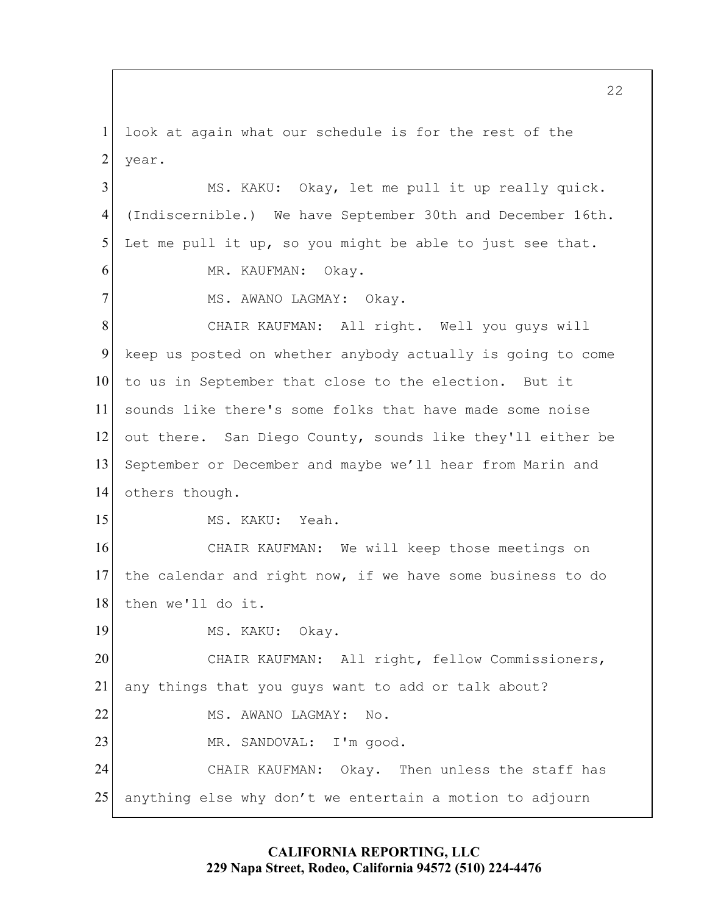1 look at again what our schedule is for the rest of the 2 year.

3 MS. KAKU: Okay, let me pull it up really quick. 4 (Indiscernible.) We have September 30th and December 16th. 5 Let me pull it up, so you might be able to just see that. 6 MR. KAUFMAN: Okay. 7 MS. AWANO LAGMAY: Okay. 8 CHAIR KAUFMAN: All right. Well you guys will 9 keep us posted on whether anybody actually is going to come 10 to us in September that close to the election. But it 11 sounds like there's some folks that have made some noise 12 out there. San Diego County, sounds like they'll either be 13 September or December and maybe we'll hear from Marin and 14 others though. 15 MS. KAKU: Yeah. 16 CHAIR KAUFMAN: We will keep those meetings on 17 the calendar and right now, if we have some business to do 18 then we'll do it. 19 MS. KAKU: Okay. 20 CHAIR KAUFMAN: All right, fellow Commissioners, 21 any things that you guys want to add or talk about? 22 MS. AWANO LAGMAY: No. 23 MR. SANDOVAL: I'm good. 24 CHAIR KAUFMAN: Okay. Then unless the staff has 25 anything else why don't we entertain a motion to adjourn

# **CALIFORNIA REPORTING, LLC 229 Napa Street, Rodeo, California 94572 (510) 224-4476**